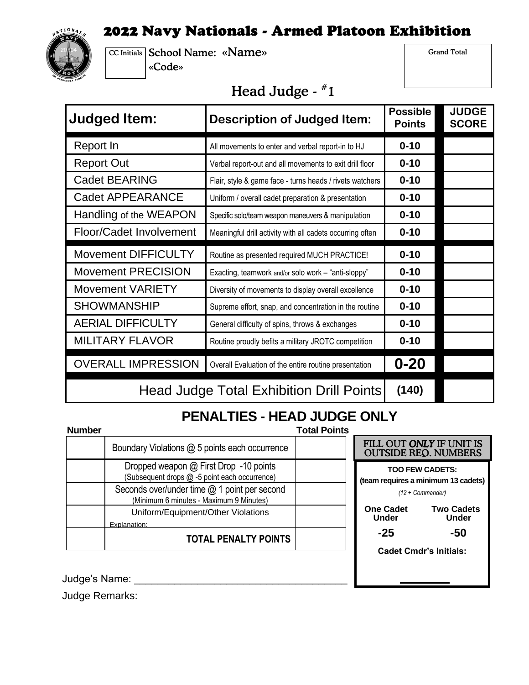## 2022 Navy Nationals - Armed Platoon Exhibition



CC Initials School Name: «Name» «Code»

Grand Total

## Head Judge - #1

| <b>Judged Item:</b><br><b>Description of Judged Item:</b> |                                                           | <b>Possible</b><br><b>Points</b> | <b>JUDGE</b><br><b>SCORE</b> |
|-----------------------------------------------------------|-----------------------------------------------------------|----------------------------------|------------------------------|
| Report In                                                 | All movements to enter and verbal report-in to HJ         | $0 - 10$                         |                              |
| <b>Report Out</b>                                         | Verbal report-out and all movements to exit drill floor   | $0 - 10$                         |                              |
| <b>Cadet BEARING</b>                                      | Flair, style & game face - turns heads / rivets watchers  | $0 - 10$                         |                              |
| <b>Cadet APPEARANCE</b>                                   | Uniform / overall cadet preparation & presentation        | $0 - 10$                         |                              |
| Handling of the WEAPON                                    | Specific solo/team weapon maneuvers & manipulation        | $0 - 10$                         |                              |
| Floor/Cadet Involvement                                   | Meaningful drill activity with all cadets occurring often | $0 - 10$                         |                              |
| <b>Movement DIFFICULTY</b>                                | Routine as presented required MUCH PRACTICE!              | $0 - 10$                         |                              |
| <b>Movement PRECISION</b>                                 | Exacting, teamwork and/or solo work - "anti-sloppy"       | $0 - 10$                         |                              |
| <b>Movement VARIETY</b>                                   | Diversity of movements to display overall excellence      | $0 - 10$                         |                              |
| <b>SHOWMANSHIP</b>                                        | Supreme effort, snap, and concentration in the routine    | $0 - 10$                         |                              |
| <b>AERIAL DIFFICULTY</b>                                  | General difficulty of spins, throws & exchanges           | $0 - 10$                         |                              |
| <b>MILITARY FLAVOR</b>                                    | Routine proudly befits a military JROTC competition       | $0 - 10$                         |                              |
| <b>OVERALL IMPRESSION</b>                                 | Overall Evaluation of the entire routine presentation     | $0 - 20$                         |                              |
| <b>Head Judge Total Exhibition Drill Points</b>           |                                                           | (140)                            |                              |

## **PENALTIES - HEAD JUDGE ONLY**

| Number |                                                                                         |  |
|--------|-----------------------------------------------------------------------------------------|--|
|        | Boundary Violations @ 5 points each occurrence                                          |  |
|        | Dropped weapon @ First Drop -10 points<br>(Subsequent drops @ -5 point each occurrence) |  |
|        | Seconds over/under time @ 1 point per second<br>(Minimum 6 minutes - Maximum 9 Minutes) |  |
|        | Uniform/Equipment/Other Violations<br>Explanation:                                      |  |
|        | <b>TOTAL PENALTY POINTS</b>                                                             |  |

| I Points |                                                                                   |                                   |  |
|----------|-----------------------------------------------------------------------------------|-----------------------------------|--|
|          | FILL OUT ONLY IF UNIT IS<br><b>OUTSIDE REO. NUMBERS</b>                           |                                   |  |
|          | <b>TOO FEW CADETS:</b><br>(team requires a minimum 13 cadets)<br>(12 + Commander) |                                   |  |
|          | <b>One Cadet</b><br><b>Under</b>                                                  | <b>Two Cadets</b><br><b>Under</b> |  |
|          | -25                                                                               | -50                               |  |
|          | <b>Cadet Cmdr's Initials:</b>                                                     |                                   |  |
|          |                                                                                   |                                   |  |
|          |                                                                                   |                                   |  |

Judge's Name: \_\_\_\_\_\_\_\_\_\_\_\_\_\_\_\_\_\_\_\_\_\_\_\_\_\_\_\_\_\_\_\_\_\_\_\_\_

Judge Remarks: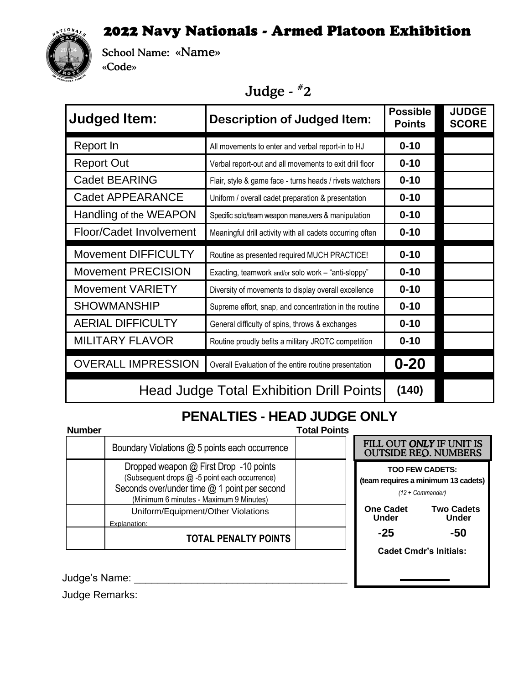## 2022 Navy Nationals - Armed Platoon Exhibition



School Name: «Name» «Code»

# Judge - #2

| <b>Judged Item:</b>                      | <b>Description of Judged Item:</b>                        | <b>Possible</b><br><b>Points</b> | <b>JUDGE</b><br><b>SCORE</b> |
|------------------------------------------|-----------------------------------------------------------|----------------------------------|------------------------------|
| Report In                                | All movements to enter and verbal report-in to HJ         | $0 - 10$                         |                              |
| <b>Report Out</b>                        | Verbal report-out and all movements to exit drill floor   | $0 - 10$                         |                              |
| Cadet BEARING                            | Flair, style & game face - turns heads / rivets watchers  | $0 - 10$                         |                              |
| <b>Cadet APPEARANCE</b>                  | Uniform / overall cadet preparation & presentation        | $0 - 10$                         |                              |
| Handling of the WEAPON                   | Specific solo/team weapon maneuvers & manipulation        | $0 - 10$                         |                              |
| Floor/Cadet Involvement                  | Meaningful drill activity with all cadets occurring often | $0 - 10$                         |                              |
| <b>Movement DIFFICULTY</b>               | Routine as presented required MUCH PRACTICE!              | $0 - 10$                         |                              |
| <b>Movement PRECISION</b>                | Exacting, teamwork and/or solo work - "anti-sloppy"       | $0 - 10$                         |                              |
| <b>Movement VARIETY</b>                  | Diversity of movements to display overall excellence      | $0 - 10$                         |                              |
| <b>SHOWMANSHIP</b>                       | Supreme effort, snap, and concentration in the routine    | $0 - 10$                         |                              |
| <b>AERIAL DIFFICULTY</b>                 | General difficulty of spins, throws & exchanges           | $0 - 10$                         |                              |
| <b>MILITARY FLAVOR</b>                   | Routine proudly befits a military JROTC competition       | $0 - 10$                         |                              |
| <b>OVERALL IMPRESSION</b>                | Overall Evaluation of the entire routine presentation     | $0 - 20$                         |                              |
| Head Judge Total Exhibition Drill Points |                                                           |                                  |                              |

#### **PENALTIES - HEAD JUDGE ONLY Number Total Points**

| <b>Number</b> |                                                                                         |  |
|---------------|-----------------------------------------------------------------------------------------|--|
|               | Boundary Violations @ 5 points each occurrence                                          |  |
|               | Dropped weapon @ First Drop -10 points<br>(Subsequent drops @ -5 point each occurrence) |  |
|               | Seconds over/under time @ 1 point per second<br>(Minimum 6 minutes - Maximum 9 Minutes) |  |
|               | Uniform/Equipment/Other Violations<br>Explanation:                                      |  |
|               | <b>TOTAL PENALTY POINTS</b>                                                             |  |

| FILL OUT ONLY IF UNIT IS<br><b>OUTSIDE REO. NUMBERS</b>                           |                                   |  |  |
|-----------------------------------------------------------------------------------|-----------------------------------|--|--|
| <b>TOO FEW CADETS:</b><br>(team requires a minimum 13 cadets)<br>(12 + Commander) |                                   |  |  |
| <b>One Cadet</b><br>Under                                                         | <b>Two Cadets</b><br><b>Under</b> |  |  |
| -25                                                                               | -50                               |  |  |
| <b>Cadet Cmdr's Initials:</b>                                                     |                                   |  |  |
|                                                                                   |                                   |  |  |
|                                                                                   |                                   |  |  |

Judge's Name: \_\_\_\_\_\_\_\_\_\_\_\_\_\_\_\_\_\_\_\_\_\_\_\_\_\_\_\_\_\_\_\_\_\_\_\_\_

Judge Remarks: